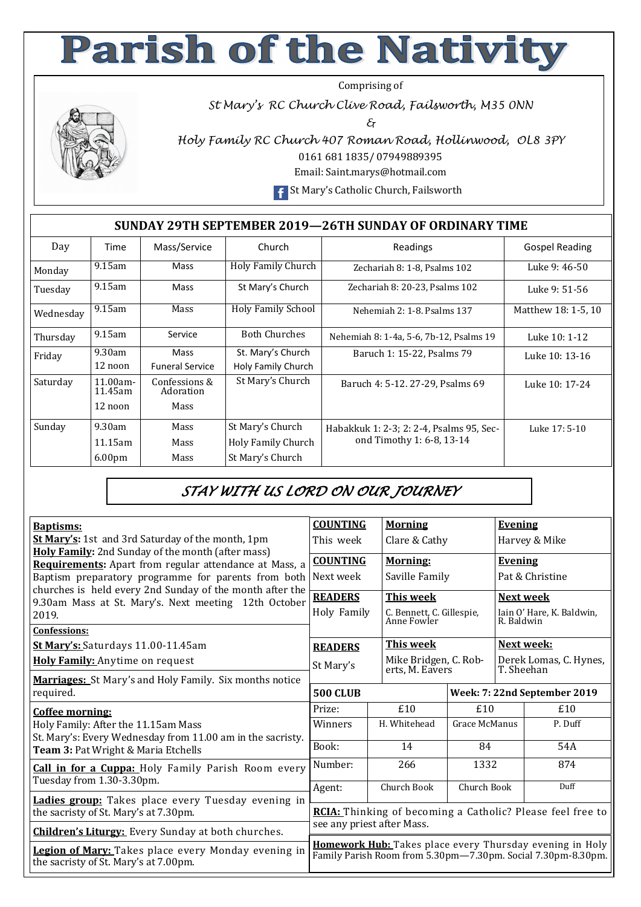## **Parish of the Nativity**

Comprising of

*St Mary's RC Church Clive Road, Failsworth, M35 0NN* 

*&* 



*Holy Family RC Church 407 Roman Road, Hollinwood, OL8 3PY*  0161 681 1835/ 07949889395

Email: Saint.marys@hotmail.com

**F** St Mary's Catholic Church, Failsworth

## **SUNDAY 29TH SEPTEMBER 2019—26TH SUNDAY OF ORDINARY TIME**

| Day       | Time                | Mass/Service               | Church                    | Readings                                 | <b>Gospel Reading</b> |  |
|-----------|---------------------|----------------------------|---------------------------|------------------------------------------|-----------------------|--|
| Monday    | $9.15$ am           | Mass                       | <b>Holy Family Church</b> | Zechariah 8: 1-8, Psalms 102             | Luke 9: 46-50         |  |
| Tuesday   | $9.15$ am           | Mass                       | St Mary's Church          | Zechariah 8: 20-23, Psalms 102           | Luke 9: 51-56         |  |
| Wednesday | $9.15$ am           | Mass                       | <b>Holy Family School</b> | Nehemiah 2: 1-8. Psalms 137              | Matthew 18: 1-5, 10   |  |
| Thursday  | $9.15$ am           | Service                    | <b>Both Churches</b>      | Nehemiah 8: 1-4a, 5-6, 7b-12, Psalms 19  | Luke 10: 1-12         |  |
| Friday    | 9.30am              | Mass                       | St. Mary's Church         | Baruch 1: 15-22, Psalms 79               | Luke 10: 13-16        |  |
|           | 12 noon             | <b>Funeral Service</b>     | Holy Family Church        |                                          |                       |  |
| Saturday  | 11.00am-<br>11.45am | Confessions &<br>Adoration | St Mary's Church          | Baruch 4: 5-12, 27-29, Psalms 69         | Luke 10: 17-24        |  |
|           | 12 noon             | Mass                       |                           |                                          |                       |  |
| Sunday    | 9.30am              | Mass                       | St Mary's Church          | Habakkuk 1: 2-3; 2: 2-4, Psalms 95, Sec- | Luke 17: 5-10         |  |
|           | 11.15am             | Mass                       | Holy Family Church        | ond Timothy 1: 6-8, 13-14                |                       |  |
|           | 6.00 <sub>pm</sub>  | Mass                       | St Mary's Church          |                                          |                       |  |

## *STAY WITH US LORD ON OUR JOURNEY*

| <b>Baptisms:</b>                                                                                                 | <b>COUNTING</b>                                                                                                          | <b>Morning</b>                           |               | <b>Evening</b>                          |         |  |  |  |  |  |  |
|------------------------------------------------------------------------------------------------------------------|--------------------------------------------------------------------------------------------------------------------------|------------------------------------------|---------------|-----------------------------------------|---------|--|--|--|--|--|--|
| <b>St Mary's:</b> 1st and 3rd Saturday of the month, 1pm                                                         | This week                                                                                                                | Clare & Cathy                            |               | Harvey & Mike                           |         |  |  |  |  |  |  |
| Holy Family: 2nd Sunday of the month (after mass)<br>Requirements: Apart from regular attendance at Mass, a      | <b>COUNTING</b>                                                                                                          | <b>Morning:</b>                          |               | <b>Evening</b>                          |         |  |  |  |  |  |  |
| Baptism preparatory programme for parents from both                                                              | Next week                                                                                                                | Saville Family                           |               | Pat & Christine                         |         |  |  |  |  |  |  |
| churches is held every 2nd Sunday of the month after the<br>9.30am Mass at St. Mary's. Next meeting 12th October | <b>READERS</b>                                                                                                           | This week                                |               | Next week                               |         |  |  |  |  |  |  |
| 2019.                                                                                                            | Holy Family                                                                                                              | C. Bennett, C. Gillespie,<br>Anne Fowler |               | Iain O' Hare, K. Baldwin,<br>R. Baldwin |         |  |  |  |  |  |  |
| <b>Confessions:</b>                                                                                              |                                                                                                                          |                                          |               |                                         |         |  |  |  |  |  |  |
| St Mary's: Saturdays 11.00-11.45am                                                                               | <b>READERS</b>                                                                                                           | <b>This week</b>                         |               | Next week:                              |         |  |  |  |  |  |  |
| Holy Family: Anytime on request                                                                                  | St Mary's                                                                                                                | Mike Bridgen, C. Rob-<br>erts, M. Eavers |               | Derek Lomas, C. Hynes,<br>T. Sheehan    |         |  |  |  |  |  |  |
| <b>Marriages:</b> St Mary's and Holy Family. Six months notice                                                   |                                                                                                                          |                                          |               |                                         |         |  |  |  |  |  |  |
| required.                                                                                                        | <b>500 CLUB</b>                                                                                                          |                                          |               | Week: 7: 22nd September 2019            |         |  |  |  |  |  |  |
| Coffee morning:                                                                                                  | Prize:                                                                                                                   | £10                                      | £10           |                                         | £10     |  |  |  |  |  |  |
| Holy Family: After the 11.15am Mass<br>St. Mary's: Every Wednesday from 11.00 am in the sacristy.                | Winners                                                                                                                  | H. Whitehead                             | Grace McManus |                                         | P. Duff |  |  |  |  |  |  |
| Team 3: Pat Wright & Maria Etchells                                                                              | Book:                                                                                                                    | 14                                       | 84            |                                         | 54A     |  |  |  |  |  |  |
| <b>Call in for a Cuppa:</b> Holy Family Parish Room every                                                        | Number:                                                                                                                  | 266                                      | 1332          |                                         | 874     |  |  |  |  |  |  |
| Tuesday from 1.30-3.30pm.                                                                                        | Agent:                                                                                                                   | Church Book                              | Church Book   |                                         | Duff    |  |  |  |  |  |  |
| Ladies group: Takes place every Tuesday evening in<br>the sacristy of St. Mary's at 7.30pm.                      | RCIA: Thinking of becoming a Catholic? Please feel free to                                                               |                                          |               |                                         |         |  |  |  |  |  |  |
| <b>Children's Liturgy:</b> Every Sunday at both churches.                                                        | see any priest after Mass.                                                                                               |                                          |               |                                         |         |  |  |  |  |  |  |
| Legion of Mary: Takes place every Monday evening in<br>the sacristy of St. Mary's at 7.00pm.                     | Homework Hub: Takes place every Thursday evening in Holy<br>Family Parish Room from 5.30pm-7.30pm. Social 7.30pm-8.30pm. |                                          |               |                                         |         |  |  |  |  |  |  |